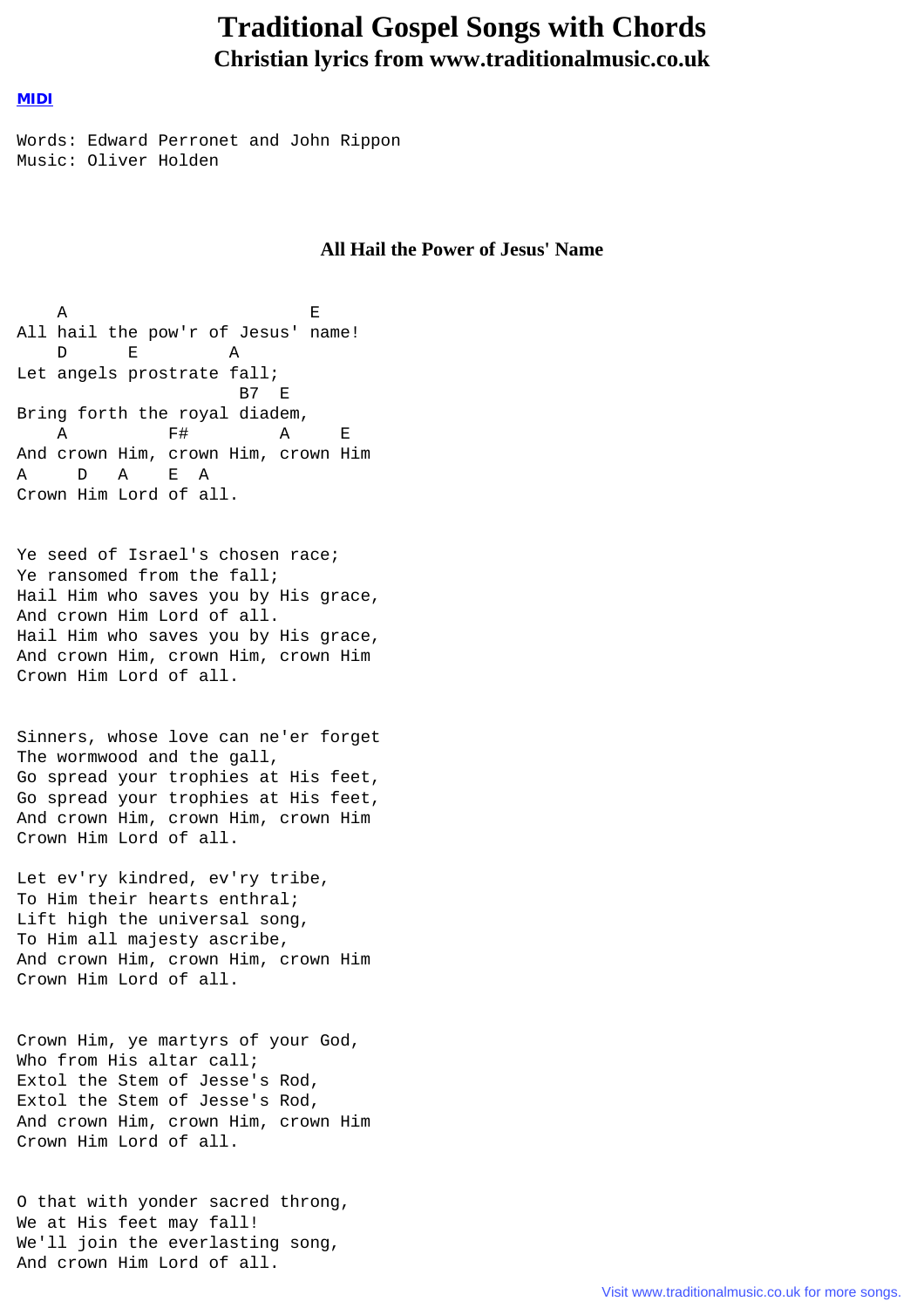## **Traditional Gospel Songs with Chords Christian lyrics from www.traditionalmusic.co.uk**

## [MIDI](file:///E|/websites/hymn-lyrics/gospel/all_hail_the_power_of_jesus_name.mid)

Words: Edward Perronet and John Rippon Music: Oliver Holden

## **All Hail the Power of Jesus' Name**

A E All hail the pow'r of Jesus' name! D E A Let angels prostrate fall; B7 E Bring forth the royal diadem, A F# A E And crown Him, crown Him, crown Him A D A E A Crown Him Lord of all.

Ye seed of Israel's chosen race; Ye ransomed from the fall; Hail Him who saves you by His grace, And crown Him Lord of all. Hail Him who saves you by His grace, And crown Him, crown Him, crown Him Crown Him Lord of all.

Sinners, whose love can ne'er forget The wormwood and the gall, Go spread your trophies at His feet, Go spread your trophies at His feet, And crown Him, crown Him, crown Him Crown Him Lord of all.

Let ev'ry kindred, ev'ry tribe, To Him their hearts enthral; Lift high the universal song, To Him all majesty ascribe, And crown Him, crown Him, crown Him Crown Him Lord of all.

Crown Him, ye martyrs of your God, Who from His altar call; Extol the Stem of Jesse's Rod, Extol the Stem of Jesse's Rod, And crown Him, crown Him, crown Him Crown Him Lord of all.

O that with yonder sacred throng, We at His feet may fall! We'll join the everlasting song, And crown Him Lord of all.